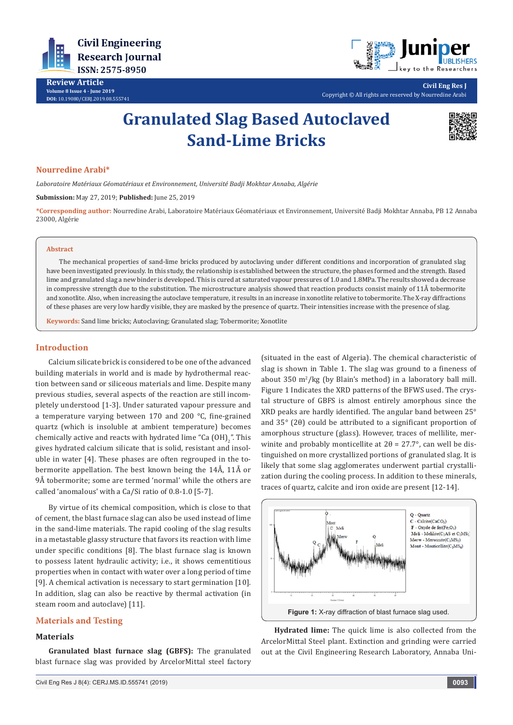

**Review Article Volume 8 Issue 4 - June 2019 DOI:** [10.19080/CERJ.2019.08.5557](http://dx.doi.org/10.19080/CERJ.2019.08.555741)41



Copyright © All rights are reserved by Nourredine Arabi

# **Granulated Slag Based Autoclaved Sand-Lime Bricks**



**Civil Eng Res J**

#### **Nourredine Arabi\***

*Laboratoire Matériaux Géomatériaux et Environnement, Université Badji Mokhtar Annaba, Algérie*

**Submission:** May 27, 2019; **Published:** June 25, 2019

**\*Corresponding author:** Nourredine Arabi, Laboratoire Matériaux Géomatériaux et Environnement, Université Badji Mokhtar Annaba, PB 12 Annaba 23000, Algérie

#### **Abstract**

The mechanical properties of sand-lime bricks produced by autoclaving under different conditions and incorporation of granulated slag have been investigated previously. In this study, the relationship is established between the structure, the phases formed and the strength. Based lime and granulated slag a new binder is developed. This is cured at saturated vapour pressures of 1.0 and 1.8MPa. The results showed a decrease in compressive strength due to the substitution. The microstructure analysis showed that reaction products consist mainly of 11Å tobermorite and xonotlite. Also, when increasing the autoclave temperature, it results in an increase in xonotlite relative to tobermorite. The X-ray diffractions of these phases are very low hardly visible, they are masked by the presence of quartz. Their intensities increase with the presence of slag.

**Keywords:** Sand lime bricks; Autoclaving; Granulated slag; Tobermorite; Xonotlite

#### **Introduction**

Calcium silicate brick is considered to be one of the advanced building materials in world and is made by hydrothermal reaction between sand or siliceous materials and lime. Despite many previous studies, several aspects of the reaction are still incompletely understood [1-3]. Under saturated vapour pressure and a temperature varying between 170 and 200 °C, fine-grained quartz (which is insoluble at ambient temperature) becomes chemically active and reacts with hydrated lime "Ca  $(OH)_2$ ". This gives hydrated calcium silicate that is solid, resistant and insoluble in water [4]. These phases are often regrouped in the tobermorite appellation. The best known being the 14Å, 11Å or 9Å tobermorite; some are termed 'normal' while the others are called 'anomalous' with a Ca/Si ratio of 0.8-1.0 [5-7].

By virtue of its chemical composition, which is close to that of cement, the blast furnace slag can also be used instead of lime in the sand-lime materials. The rapid cooling of the slag results in a metastable glassy structure that favors its reaction with lime under specific conditions [8]. The blast furnace slag is known to possess latent hydraulic activity; i.e., it shows cementitious properties when in contact with water over a long period of time [9]. A chemical activation is necessary to start germination [10]. In addition, slag can also be reactive by thermal activation (in steam room and autoclave) [11].

## **Materials and Testing**

#### **Materials**

**Granulated blast furnace slag (GBFS):** The granulated blast furnace slag was provided by ArcelorMittal steel factory

Civil Eng Res J 8(4): CERJ.MS.ID.555741 (2019) **0093**

(situated in the east of Algeria). The chemical characteristic of slag is shown in Table 1. The slag was ground to a fineness of about 350 m<sup>2</sup> /kg (by Blain's method) in a laboratory ball mill. Figure 1 Indicates the XRD patterns of the BFWS used. The crystal structure of GBFS is almost entirely amorphous since the XRD peaks are hardly identified. The angular band between 25° and 35° (2θ) could be attributed to a significant proportion of amorphous structure (glass). However, traces of mellilite, merwinite and probably monticellite at  $2\theta = 27.7^{\circ}$ , can well be distinguished on more crystallized portions of granulated slag. It is likely that some slag agglomerates underwent partial crystallization during the cooling process. In addition to these minerals, traces of quartz, calcite and iron oxide are present [12-14].



**Hydrated lime:** The quick lime is also collected from the ArcelorMittal Steel plant. Extinction and grinding were carried out at the Civil Engineering Research Laboratory, Annaba Uni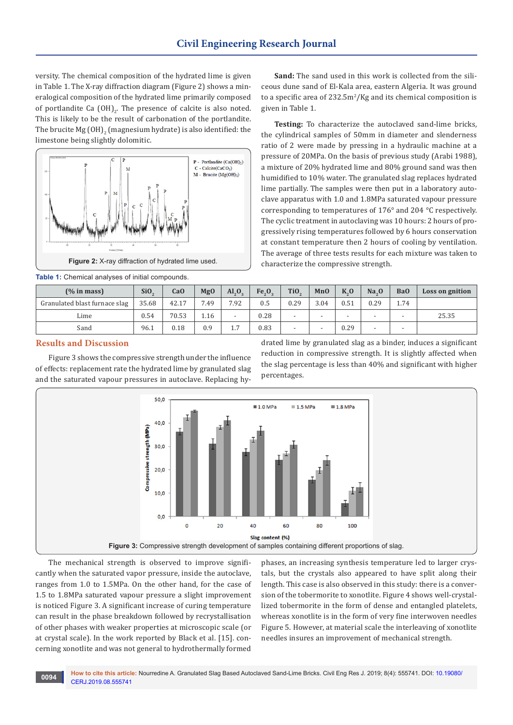versity. The chemical composition of the hydrated lime is given in Table 1. The X-ray diffraction diagram (Figure 2) shows a mineralogical composition of the hydrated lime primarily composed of portlandite Ca  $(OH)_{2}$ . The presence of calcite is also noted. This is likely to be the result of carbonation of the portlandite. The brucite Mg  $(OH)_2$  (magnesium hydrate) is also identified: the  $\,$ limestone being slightly dolomitic.



**Table 1:** Chemical analyses of initial compounds.

**Sand:** The sand used in this work is collected from the siliceous dune sand of El-Kala area, eastern Algeria. It was ground to a specific area of  $232.5\,\text{m}^2/\text{Kg}$  and its chemical composition is given in Table 1.

**Testing:** To characterize the autoclaved sand-lime bricks, the cylindrical samples of 50mm in diameter and slenderness ratio of 2 were made by pressing in a hydraulic machine at a pressure of 20MPa. On the basis of previous study (Arabi 1988), a mixture of 20% hydrated lime and 80% ground sand was then humidified to 10% water. The granulated slag replaces hydrated lime partially. The samples were then put in a laboratory autoclave apparatus with 1.0 and 1.8MPa saturated vapour pressure corresponding to temperatures of 176° and 204 °C respectively. The cyclic treatment in autoclaving was 10 hours: 2 hours of progressively rising temperatures followed by 6 hours conservation at constant temperature then 2 hours of cooling by ventilation. The average of three tests results for each mixture was taken to characterize the compressive strength.

| (% in mass)                   | SiO <sub>2</sub> | CaO   | <b>MgO</b> | $Al_{\circ}O_{\circ}$    | Fe <sub>3</sub> O <sub>3</sub> | Ti <sub>O</sub>          | MnO                      | K <sub>0</sub> | $Na_0$ | Ba <sub>0</sub>          | Loss on gnition |
|-------------------------------|------------------|-------|------------|--------------------------|--------------------------------|--------------------------|--------------------------|----------------|--------|--------------------------|-----------------|
| Granulated blast furnace slag | 35.68            | 42.17 | 7.49       | 7.92                     | 0.5                            | 0.29                     | 3.04                     | 0.51           | 0.29   | 1.74                     |                 |
| Lime                          | 0.54             | 70.53 | 1.16       | $\overline{\phantom{a}}$ | 0.28                           |                          | $\overline{\phantom{0}}$ |                |        | $\overline{\phantom{0}}$ | 25.35           |
| Sand                          | 96.1             | 0.18  | 0.9        | 1.7                      | 0.83                           | $\overline{\phantom{0}}$ | $\overline{\phantom{0}}$ | 0.29           |        | $\overline{\phantom{0}}$ |                 |

## **Results and Discussion**

Figure 3 shows the compressive strength under the influence of effects: replacement rate the hydrated lime by granulated slag and the saturated vapour pressures in autoclave. Replacing hydrated lime by granulated slag as a binder, induces a significant reduction in compressive strength. It is slightly affected when the slag percentage is less than 40% and significant with higher percentages.



The mechanical strength is observed to improve significantly when the saturated vapor pressure, inside the autoclave, ranges from 1.0 to 1.5MPa. On the other hand, for the case of 1.5 to 1.8MPa saturated vapour pressure a slight improvement is noticed Figure 3. A significant increase of curing temperature can result in the phase breakdown followed by recrystallisation of other phases with weaker properties at microscopic scale (or at crystal scale). In the work reported by Black et al. [15]. concerning xonotlite and was not general to hydrothermally formed

phases, an increasing synthesis temperature led to larger crystals, but the crystals also appeared to have split along their length. This case is also observed in this study: there is a conversion of the tobermorite to xonotlite. Figure 4 shows well-crystallized tobermorite in the form of dense and entangled platelets, whereas xonotlite is in the form of very fine interwoven needles Figure 5. However, at material scale the interleaving of xonotlite needles insures an improvement of mechanical strength.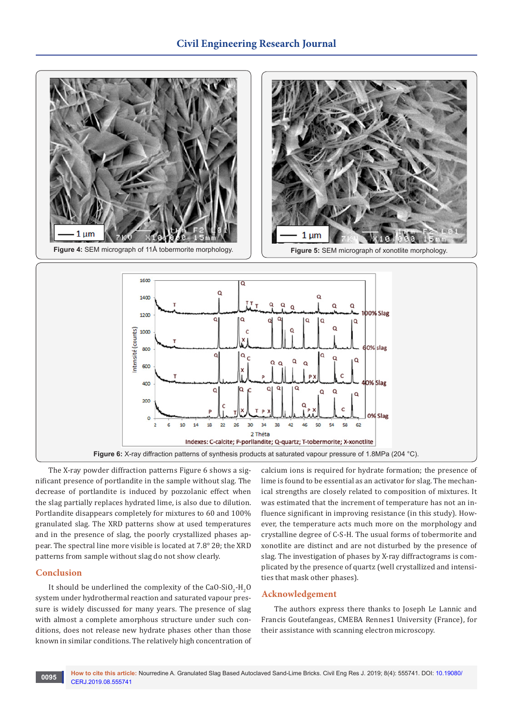

The X-ray powder diffraction patterns Figure 6 shows a significant presence of portlandite in the sample without slag. The decrease of portlandite is induced by pozzolanic effect when the slag partially replaces hydrated lime, is also due to dilution. Portlandite disappears completely for mixtures to 60 and 100% granulated slag. The XRD patterns show at used temperatures and in the presence of slag, the poorly crystallized phases appear. The spectral line more visible is located at 7.8° 2θ; the XRD patterns from sample without slag do not show clearly.

## **Conclusion**

It should be underlined the complexity of the  $CaO-SIO_{2}$ -H<sub>2</sub>O system under hydrothermal reaction and saturated vapour pressure is widely discussed for many years. The presence of slag with almost a complete amorphous structure under such conditions, does not release new hydrate phases other than those known in similar conditions. The relatively high concentration of calcium ions is required for hydrate formation; the presence of lime is found to be essential as an activator for slag. The mechanical strengths are closely related to composition of mixtures. It was estimated that the increment of temperature has not an influence significant in improving resistance (in this study). However, the temperature acts much more on the morphology and crystalline degree of C-S-H. The usual forms of tobermorite and xonotlite are distinct and are not disturbed by the presence of slag. The investigation of phases by X-ray diffractograms is complicated by the presence of quartz (well crystallized and intensities that mask other phases).

## **Acknowledgement**

The authors express there thanks to Joseph Le Lannic and Francis Goutefangeas, CMEBA Rennes1 University (France), for their assistance with scanning electron microscopy.